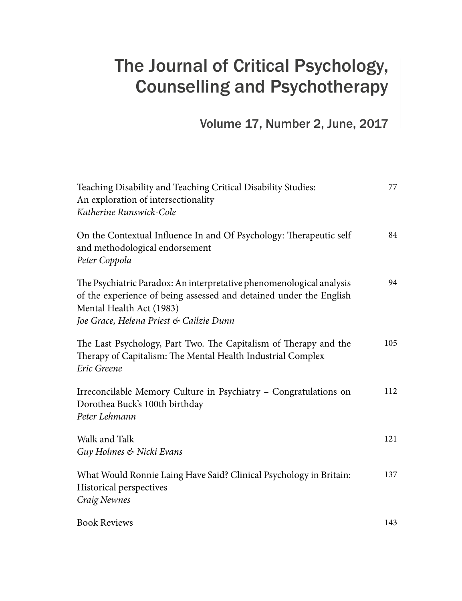## The Journal of Critical Psychology, Counselling and Psychotherapy

Volume 17, Number 2, June, 2017

| Teaching Disability and Teaching Critical Disability Studies:<br>An exploration of intersectionality<br>Katherine Runswick-Cole                                                                                   | 77  |
|-------------------------------------------------------------------------------------------------------------------------------------------------------------------------------------------------------------------|-----|
| On the Contextual Influence In and Of Psychology: Therapeutic self<br>and methodological endorsement<br>Peter Coppola                                                                                             | 84  |
| The Psychiatric Paradox: An interpretative phenomenological analysis<br>of the experience of being assessed and detained under the English<br>Mental Health Act (1983)<br>Joe Grace, Helena Priest & Cailzie Dunn | 94  |
| The Last Psychology, Part Two. The Capitalism of Therapy and the<br>Therapy of Capitalism: The Mental Health Industrial Complex<br>Eric Greene                                                                    | 105 |
| Irreconcilable Memory Culture in Psychiatry - Congratulations on<br>Dorothea Buck's 100th birthday<br>Peter Lehmann                                                                                               | 112 |
| Walk and Talk<br>Guy Holmes & Nicki Evans                                                                                                                                                                         | 121 |
| What Would Ronnie Laing Have Said? Clinical Psychology in Britain:<br>Historical perspectives<br>Craig Newnes                                                                                                     | 137 |
| <b>Book Reviews</b>                                                                                                                                                                                               | 143 |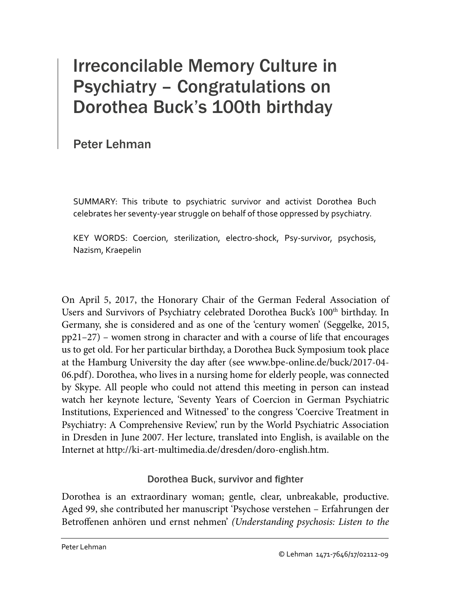# Irreconcilable Memory Culture in Psychiatry – Congratulations on Dorothea Buck's 100th birthday

Peter Lehman

SUMMARY: This tribute to psychiatric survivor and activist Dorothea Buch celebrates her seventy-year struggle on behalf of those oppressed by psychiatry.

KEY WORDS: Coercion, sterilization, electro-shock, Psy-survivor, psychosis, Nazism, Kraepelin

On April 5, 2017, the Honorary Chair of the German Federal Association of Users and Survivors of Psychiatry celebrated Dorothea Buck's 100<sup>th</sup> birthday. In Germany, she is considered and as one of the 'century women' (Seggelke, 2015, pp21–27) – women strong in character and with a course of life that encourages us to get old. For her particular birthday, a Dorothea Buck Symposium took place at the Hamburg University the day after (see www.bpe-online.de/buck/2017-04- 06.pdf). Dorothea, who lives in a nursing home for elderly people, was connected by Skype. All people who could not attend this meeting in person can instead watch her keynote lecture, 'Seventy Years of Coercion in German Psychiatric Institutions, Experienced and Witnessed' to the congress 'Coercive Treatment in Psychiatry: A Comprehensive Review,' run by the World Psychiatric Association in Dresden in June 2007. Her lecture, translated into English, is available on the Internet at http://ki-art-multimedia.de/dresden/doro-english.htm.

## Dorothea Buck, survivor and fighter

Dorothea is an extraordinary woman; gentle, clear, unbreakable, productive. Aged 99, she contributed her manuscript 'Psychose verstehen – Erfahrungen der Betroffenen anhören und ernst nehmen' *(Understanding psychosis: Listen to the*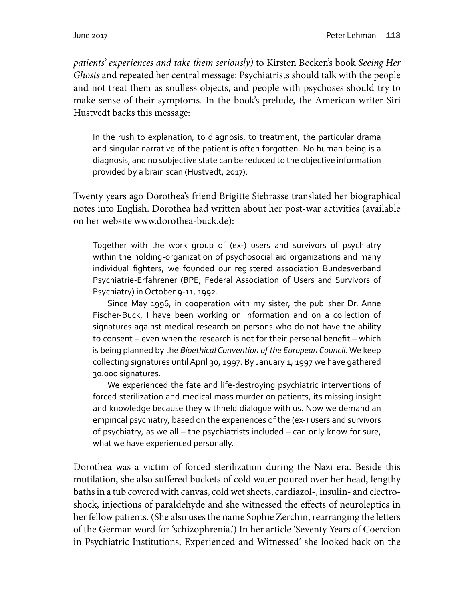*patients' experiences and take them seriously)* to Kirsten Becken's book *Seeing Her Ghosts* and repeated her central message: Psychiatrists should talk with the people and not treat them as soulless objects, and people with psychoses should try to make sense of their symptoms. In the book's prelude, the American writer Siri Hustvedt backs this message:

In the rush to explanation, to diagnosis, to treatment, the particular drama and singular narrative of the patient is often forgotten. No human being is a diagnosis, and no subjective state can be reduced to the objective information provided by a brain scan (Hustvedt, 2017).

Twenty years ago Dorothea's friend Brigitte Siebrasse translated her biographical notes into English. Dorothea had written about her post-war activities (available on her website www.dorothea-buck.de):

Together with the work group of (ex-) users and survivors of psychiatry within the holding-organization of psychosocial aid organizations and many individual fighters, we founded our registered association Bundesverband Psychiatrie-Erfahrener (BPE; Federal Association of Users and Survivors of Psychiatry) in October 9-11, 1992.

Since May 1996, in cooperation with my sister, the publisher Dr. Anne Fischer-Buck, I have been working on information and on a collection of signatures against medical research on persons who do not have the ability to consent – even when the research is not for their personal benefit – which is being planned by the *Bioethical Convention of the European Council*. We keep collecting signatures until April 30, 1997. By January 1, 1997 we have gathered 30.000 signatures.

We experienced the fate and life-destroying psychiatric interventions of forced sterilization and medical mass murder on patients, its missing insight and knowledge because they withheld dialogue with us. Now we demand an empirical psychiatry, based on the experiences of the (ex-) users and survivors of psychiatry, as we all – the psychiatrists included – can only know for sure, what we have experienced personally.

Dorothea was a victim of forced sterilization during the Nazi era. Beside this mutilation, she also suffered buckets of cold water poured over her head, lengthy baths in a tub covered with canvas, cold wet sheets, cardiazol-, insulin- and electroshock, injections of paraldehyde and she witnessed the effects of neuroleptics in her fellow patients. (She also uses the name Sophie Zerchin, rearranging the letters of the German word for 'schizophrenia.') In her article 'Seventy Years of Coercion in Psychiatric Institutions, Experienced and Witnessed' she looked back on the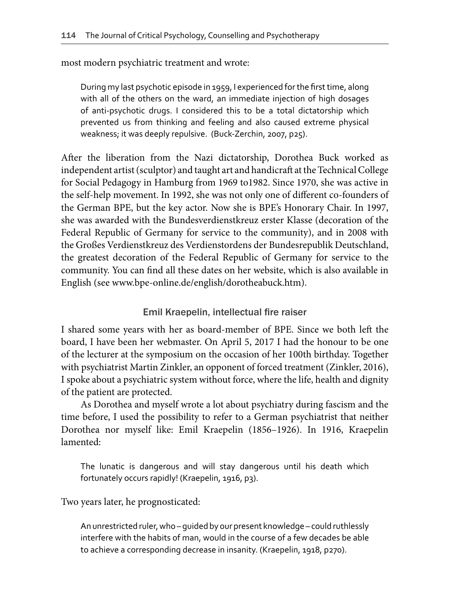most modern psychiatric treatment and wrote:

During my last psychotic episode in 1959, I experienced for the first time, along with all of the others on the ward, an immediate injection of high dosages of anti-psychotic drugs. I considered this to be a total dictatorship which prevented us from thinking and feeling and also caused extreme physical weakness; it was deeply repulsive. (Buck-Zerchin, 2007, p25).

After the liberation from the Nazi dictatorship, Dorothea Buck worked as independent artist (sculptor) and taught art and handicraft at the Technical College for Social Pedagogy in Hamburg from 1969 to1982. Since 1970, she was active in the self-help movement. In 1992, she was not only one of different co-founders of the German BPE, but the key actor. Now she is BPE's Honorary Chair. In 1997, she was awarded with the Bundesverdienstkreuz erster Klasse (decoration of the Federal Republic of Germany for service to the community), and in 2008 with the Großes Verdienstkreuz des Verdienstordens der Bundesrepublik Deutschland, the greatest decoration of the Federal Republic of Germany for service to the community. You can find all these dates on her website, which is also available in English (see www.bpe-online.de/english/dorotheabuck.htm).

Emil Kraepelin, intellectual fire raiser

I shared some years with her as board-member of BPE. Since we both left the board, I have been her webmaster. On April 5, 2017 I had the honour to be one of the lecturer at the symposium on the occasion of her 100th birthday. Together with psychiatrist Martin Zinkler, an opponent of forced treatment (Zinkler, 2016), I spoke about a psychiatric system without force, where the life, health and dignity of the patient are protected.

As Dorothea and myself wrote a lot about psychiatry during fascism and the time before, I used the possibility to refer to a German psychiatrist that neither Dorothea nor myself like: Emil Kraepelin (1856–1926). In 1916, Kraepelin lamented:

The lunatic is dangerous and will stay dangerous until his death which fortunately occurs rapidly! (Kraepelin, 1916, p3).

Two years later, he prognosticated:

An unrestricted ruler, who – guided by our present knowledge – could ruthlessly interfere with the habits of man, would in the course of a few decades be able to achieve a corresponding decrease in insanity. (Kraepelin, 1918, p270).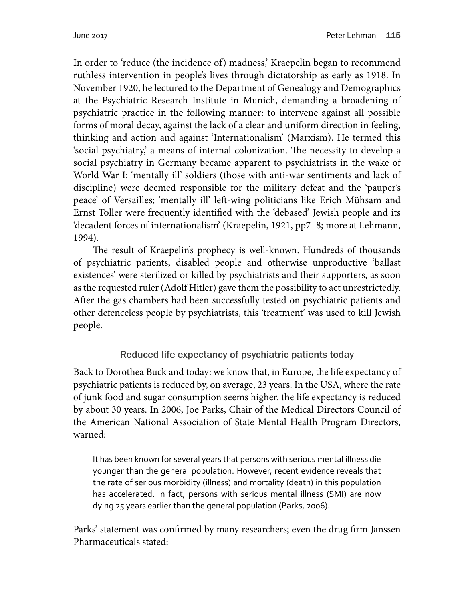In order to 'reduce (the incidence of) madness,' Kraepelin began to recommend ruthless intervention in people's lives through dictatorship as early as 1918. In November 1920, he lectured to the Department of Genealogy and Demographics at the Psychiatric Research Institute in Munich, demanding a broadening of psychiatric practice in the following manner: to intervene against all possible forms of moral decay, against the lack of a clear and uniform direction in feeling, thinking and action and against 'Internationalism' (Marxism). He termed this 'social psychiatry,' a means of internal colonization. The necessity to develop a social psychiatry in Germany became apparent to psychiatrists in the wake of World War I: 'mentally ill' soldiers (those with anti-war sentiments and lack of discipline) were deemed responsible for the military defeat and the 'pauper's peace' of Versailles; 'mentally ill' left-wing politicians like Erich Mühsam and Ernst Toller were frequently identified with the 'debased' Jewish people and its 'decadent forces of internationalism' (Kraepelin, 1921, pp7–8; more at Lehmann, 1994).

The result of Kraepelin's prophecy is well-known. Hundreds of thousands of psychiatric patients, disabled people and otherwise unproductive 'ballast existences' were sterilized or killed by psychiatrists and their supporters, as soon as the requested ruler (Adolf Hitler) gave them the possibility to act unrestrictedly. After the gas chambers had been successfully tested on psychiatric patients and other defenceless people by psychiatrists, this 'treatment' was used to kill Jewish people.

## Reduced life expectancy of psychiatric patients today

Back to Dorothea Buck and today: we know that, in Europe, the life expectancy of psychiatric patients is reduced by, on average, 23 years. In the USA, where the rate of junk food and sugar consumption seems higher, the life expectancy is reduced by about 30 years. In 2006, Joe Parks, Chair of the Medical Directors Council of the American National Association of State Mental Health Program Directors, warned:

It has been known for several years that persons with serious mental illness die younger than the general population. However, recent evidence reveals that the rate of serious morbidity (illness) and mortality (death) in this population has accelerated. In fact, persons with serious mental illness (SMI) are now dying 25 years earlier than the general population (Parks, 2006).

Parks' statement was confirmed by many researchers; even the drug firm Janssen Pharmaceuticals stated: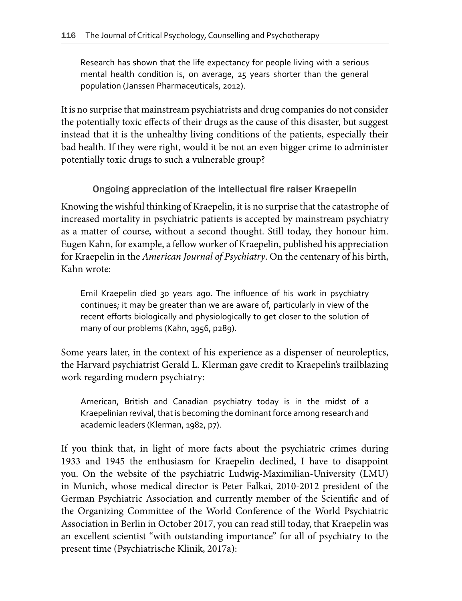Research has shown that the life expectancy for people living with a serious mental health condition is, on average, 25 years shorter than the general population (Janssen Pharmaceuticals, 2012).

It is no surprise that mainstream psychiatrists and drug companies do not consider the potentially toxic effects of their drugs as the cause of this disaster, but suggest instead that it is the unhealthy living conditions of the patients, especially their bad health. If they were right, would it be not an even bigger crime to administer potentially toxic drugs to such a vulnerable group?

## Ongoing appreciation of the intellectual fire raiser Kraepelin

Knowing the wishful thinking of Kraepelin, it is no surprise that the catastrophe of increased mortality in psychiatric patients is accepted by mainstream psychiatry as a matter of course, without a second thought. Still today, they honour him. Eugen Kahn, for example, a fellow worker of Kraepelin, published his appreciation for Kraepelin in the *American Journal of Psychiatry*. On the centenary of his birth, Kahn wrote:

Emil Kraepelin died 30 years ago. The influence of his work in psychiatry continues; it may be greater than we are aware of, particularly in view of the recent efforts biologically and physiologically to get closer to the solution of many of our problems (Kahn, 1956, p289).

Some years later, in the context of his experience as a dispenser of neuroleptics, the Harvard psychiatrist Gerald L. Klerman gave credit to Kraepelin's trailblazing work regarding modern psychiatry:

American, British and Canadian psychiatry today is in the midst of a Kraepelinian revival, that is becoming the dominant force among research and academic leaders (Klerman, 1982, p7).

If you think that, in light of more facts about the psychiatric crimes during 1933 and 1945 the enthusiasm for Kraepelin declined, I have to disappoint you. On the website of the psychiatric Ludwig-Maximilian-University (LMU) in Munich, whose medical director is Peter Falkai, 2010-2012 president of the German Psychiatric Association and currently member of the Scientific and of the Organizing Committee of the World Conference of the World Psychiatric Association in Berlin in October 2017, you can read still today, that Kraepelin was an excellent scientist "with outstanding importance" for all of psychiatry to the present time (Psychiatrische Klinik, 2017a):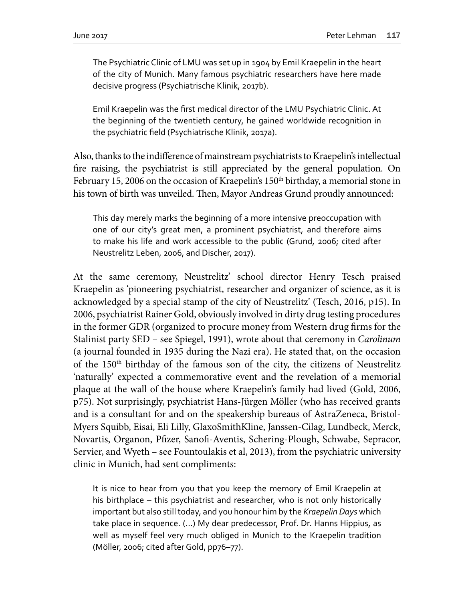The Psychiatric Clinic of LMU was set up in 1904 by Emil Kraepelin in the heart of the city of Munich. Many famous psychiatric researchers have here made decisive progress (Psychiatrische Klinik, 2017b).

Emil Kraepelin was the first medical director of the LMU Psychiatric Clinic. At the beginning of the twentieth century, he gained worldwide recognition in the psychiatric field (Psychiatrische Klinik, 2017a).

Also, thanks to the indifference of mainstream psychiatrists to Kraepelin's intellectual fire raising, the psychiatrist is still appreciated by the general population. On February 15, 2006 on the occasion of Kraepelin's  $150<sup>th</sup>$  birthday, a memorial stone in his town of birth was unveiled. Then, Mayor Andreas Grund proudly announced:

This day merely marks the beginning of a more intensive preoccupation with one of our city's great men, a prominent psychiatrist, and therefore aims to make his life and work accessible to the public (Grund, 2006; cited after Neustrelitz Leben, 2006, and Discher, 2017).

At the same ceremony, Neustrelitz' school director Henry Tesch praised Kraepelin as 'pioneering psychiatrist, researcher and organizer of science, as it is acknowledged by a special stamp of the city of Neustrelitz' (Tesch, 2016, p15). In 2006, psychiatrist Rainer Gold, obviously involved in dirty drug testing procedures in the former GDR (organized to procure money from Western drug firms for the Stalinist party SED – see Spiegel, 1991), wrote about that ceremony in *Carolinum* (a journal founded in 1935 during the Nazi era). He stated that, on the occasion of the 150<sup>th</sup> birthday of the famous son of the city, the citizens of Neustrelitz 'naturally' expected a commemorative event and the revelation of a memorial plaque at the wall of the house where Kraepelin's family had lived (Gold, 2006, p75). Not surprisingly, psychiatrist Hans-Jürgen Möller (who has received grants and is a consultant for and on the speakership bureaus of AstraZeneca, Bristol-Myers Squibb, Eisai, Eli Lilly, GlaxoSmithKline, Janssen-Cilag, Lundbeck, Merck, Novartis, Organon, Pfizer, Sanofi-Aventis, Schering-Plough, Schwabe, Sepracor, Servier, and Wyeth – see Fountoulakis et al, 2013), from the psychiatric university clinic in Munich, had sent compliments:

It is nice to hear from you that you keep the memory of Emil Kraepelin at his birthplace – this psychiatrist and researcher, who is not only historically important but also still today, and you honour him by the *Kraepelin Days* which take place in sequence. (…) My dear predecessor, Prof. Dr. Hanns Hippius, as well as myself feel very much obliged in Munich to the Kraepelin tradition (Möller, 2006; cited after Gold, pp76–77).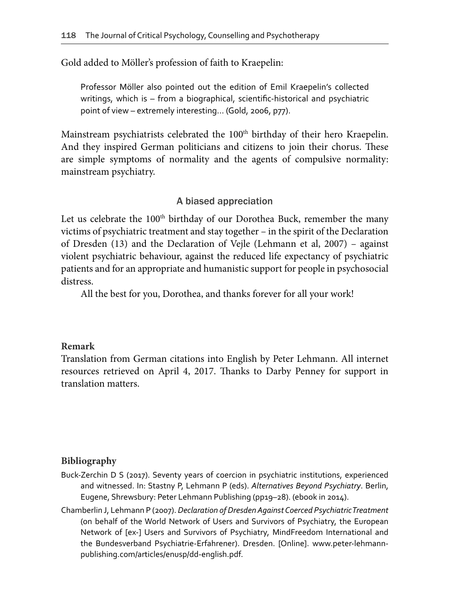Gold added to Möller's profession of faith to Kraepelin:

Professor Möller also pointed out the edition of Emil Kraepelin's collected writings, which is – from a biographical, scientific-historical and psychiatric point of view – extremely interesting… (Gold, 2006, p77).

Mainstream psychiatrists celebrated the  $100<sup>th</sup>$  birthday of their hero Kraepelin. And they inspired German politicians and citizens to join their chorus. These are simple symptoms of normality and the agents of compulsive normality: mainstream psychiatry.

### A biased appreciation

Let us celebrate the 100<sup>th</sup> birthday of our Dorothea Buck, remember the many victims of psychiatric treatment and stay together – in the spirit of the Declaration of Dresden (13) and the Declaration of Vejle (Lehmann et al, 2007) – against violent psychiatric behaviour, against the reduced life expectancy of psychiatric patients and for an appropriate and humanistic support for people in psychosocial distress.

All the best for you, Dorothea, and thanks forever for all your work!

### **Remark**

Translation from German citations into English by Peter Lehmann. All internet resources retrieved on April 4, 2017. Thanks to Darby Penney for support in translation matters.

### **Bibliography**

- Buck-Zerchin D S (2017). Seventy years of coercion in psychiatric institutions, experienced and witnessed. In: Stastny P, Lehmann P (eds). *Alternatives Beyond Psychiatry*. Berlin, Eugene, Shrewsbury: Peter Lehmann Publishing (pp19–28). (ebook in 2014).
- Chamberlin J, Lehmann P (2007). *Declaration of Dresden Against Coerced Psychiatric Treatment* (on behalf of the World Network of Users and Survivors of Psychiatry, the European Network of [ex-] Users and Survivors of Psychiatry, MindFreedom International and the Bundesverband Psychiatrie-Erfahrener). Dresden. [Online]. www.peter-lehmannpublishing.com/articles/enusp/dd-english.pdf.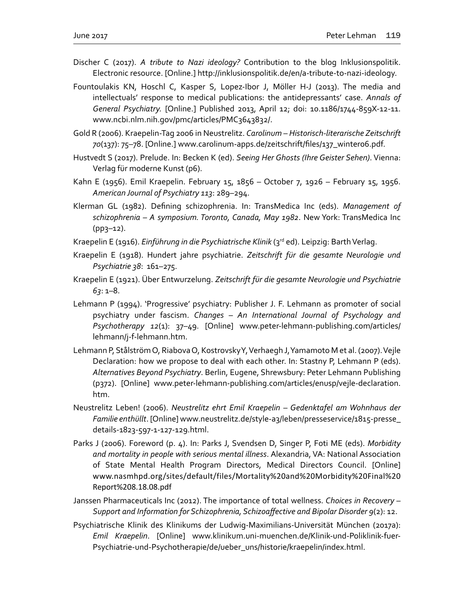- Discher C (2017). *A tribute to Nazi ideology?* Contribution to the blog Inklusionspolitik. Electronic resource. [Online.] http://inklusionspolitik.de/en/a-tribute-to-nazi-ideology.
- Fountoulakis KN, Hoschl C, Kasper S, Lopez-Ibor J, Möller H-J (2013). The media and intellectuals' response to medical publications: the antidepressants' case. *Annals of General Psychiatry.* [Online.] Published 2013, April 12; doi: 10.1186/1744-859X-12-11. www.ncbi.nlm.nih.gov/pmc/articles/PMC3643832/.
- Gold R (2006). Kraepelin-Tag 2006 in Neustrelitz. *Carolinum Historisch-literarische Zeitschrift 70*(137): 75–78. [Online.] www.carolinum-apps.de/zeitschrift/files/137\_winter06.pdf.
- Hustvedt S (2017). Prelude. In: Becken K (ed). *Seeing Her Ghosts (Ihre Geister Sehen)*. Vienna: Verlag für moderne Kunst (p6).
- Kahn E (1956). Emil Kraepelin. February 15, 1856 October 7, 1926 February 15, 1956. *American Journal of Psychiatry 113*: 289–294.
- Klerman GL (1982). Defining schizophrenia. In: TransMedica Inc (eds). *Management of schizophrenia – A symposium. Toronto, Canada, May 1982*. New York: TransMedica Inc (pp3–12).
- Kraepelin E (1916). *Einführung in die Psychiatrische Klinik* (3<sup>rd</sup> ed). Leipzig: Barth Verlag.
- Kraepelin E (1918). Hundert jahre psychiatrie. *Zeitschrift für die gesamte Neurologie und Psychiatrie 38*: 161–275.
- Kraepelin E (1921). Über Entwurzelung. *Zeitschrift für die gesamte Neurologie und Psychiatrie 63*: 1–8.
- Lehmann P (1994). 'Progressive' psychiatry: Publisher J. F. Lehmann as promoter of social psychiatry under fascism. *Changes – An International Journal of Psychology and Psychotherapy 12*(1): 37–49. [Online] www.peter-lehmann-publishing.com/articles/ lehmann/j-f-lehmann.htm.
- Lehmann P, Stålström O, Riabova O, Kostrovsky Y, Verhaegh J, Yamamoto M et al. (2007). Vejle Declaration: how we propose to deal with each other. In: Stastny P, Lehmann P (eds). *Alternatives Beyond Psychiatry*. Berlin, Eugene, Shrewsbury: Peter Lehmann Publishing (p372). [Online] www.peter-lehmann-publishing.com/articles/enusp/vejle-declaration. htm.
- Neustrelitz Leben! (2006). *Neustrelitz ehrt Emil Kraepelin Gedenktafel am Wohnhaus der Familie enthüllt*. [Online] www.neustrelitz.de/style-a3/leben/presseservice/1815-presse\_ details-1823-597-1-127-129.html.
- Parks J (2006). Foreword (p. 4). In: Parks J, Svendsen D, Singer P, Foti ME (eds). *Morbidity and mortality in people with serious mental illness*. Alexandria, VA: National Association of State Mental Health Program Directors, Medical Directors Council. [Online] www.nasmhpd.org/sites/default/files/Mortality%20and%20Morbidity%20Final%20 Report%208.18.08.pdf
- Janssen Pharmaceuticals Inc (2012). The importance of total wellness. *Choices in Recovery Support and Information for Schizophrenia, Schizoaffective and Bipolar Disorder 9*(2): 12.
- Psychiatrische Klinik des Klinikums der Ludwig-Maximilians-Universität München (2017a): *Emil Kraepelin*. [Online] www.klinikum.uni-muenchen.de/Klinik-und-Poliklinik-fuer-Psychiatrie-und-Psychotherapie/de/ueber\_uns/historie/kraepelin/index.html.